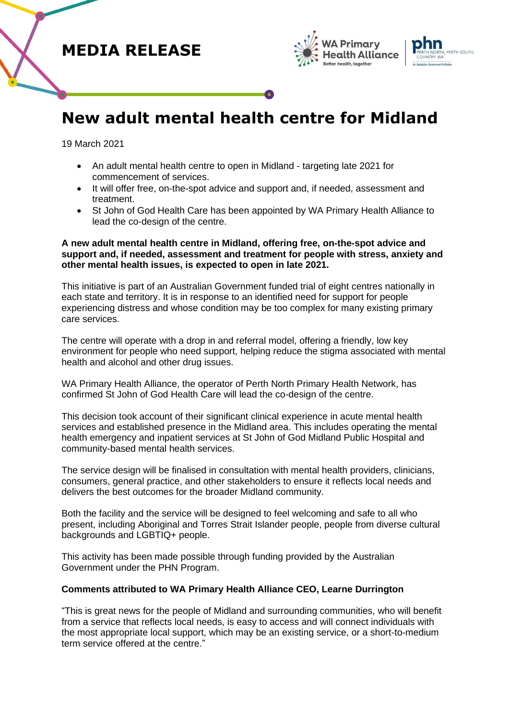





# **New adult mental health centre for Midland**

19 March 2021

- An adult mental health centre to open in Midland targeting late 2021 for commencement of services.
- It will offer free, on-the-spot advice and support and, if needed, assessment and treatment.
- St John of God Health Care has been appointed by WA Primary Health Alliance to lead the co-design of the centre.

### **A new adult mental health centre in Midland, offering free, on-the-spot advice and support and, if needed, assessment and treatment for people with stress, anxiety and other mental health issues, is expected to open in late 2021.**

This initiative is part of an Australian Government funded trial of eight centres nationally in each state and territory. It is in response to an identified need for support for people experiencing distress and whose condition may be too complex for many existing primary care services.

The centre will operate with a drop in and referral model, offering a friendly, low key environment for people who need support, helping reduce the stigma associated with mental health and alcohol and other drug issues.

WA Primary Health Alliance, the operator of Perth North Primary Health Network, has confirmed St John of God Health Care will lead the co-design of the centre.

This decision took account of their significant clinical experience in acute mental health services and established presence in the Midland area. This includes operating the mental health emergency and inpatient services at St John of God Midland Public Hospital and community-based mental health services.

The service design will be finalised in consultation with mental health providers, clinicians, consumers, general practice, and other stakeholders to ensure it reflects local needs and delivers the best outcomes for the broader Midland community.

Both the facility and the service will be designed to feel welcoming and safe to all who present, including Aboriginal and Torres Strait Islander people, people from diverse cultural backgrounds and LGBTIQ+ people.

This activity has been made possible through funding provided by the Australian Government under the PHN Program.

## **Comments attributed to WA Primary Health Alliance CEO, Learne Durrington**

"This is great news for the people of Midland and surrounding communities, who will benefit from a service that reflects local needs, is easy to access and will connect individuals with the most appropriate local support, which may be an existing service, or a short-to-medium term service offered at the centre."